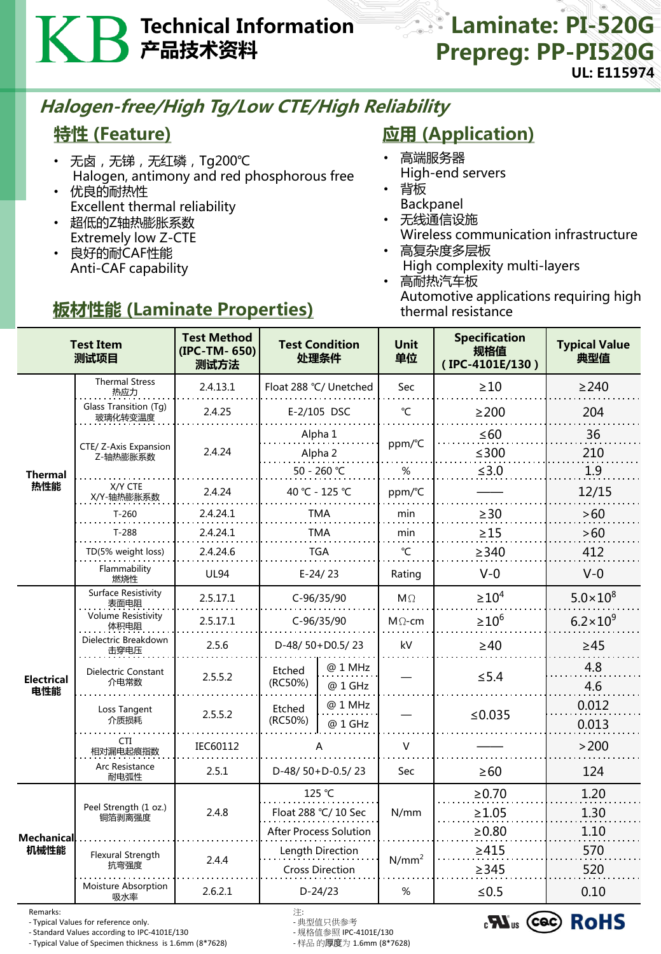# Technical Information 产品技术资料

### **External Laminate: PI-520G** Prepreg: PP-PI520G UL: E115974

## Halogen-free/High Tg/Low CTE/High Reliability

### 特性 (Feature)

- 无卤, 无锑, 无红磷, Tg200℃ Halogen, antimony and red phosphorous free • 优良的耐热性
- Excellent thermal reliability
- 超低的Z轴热膨胀系数 Extremely low Z-CTE
- 良好的耐CAF性能 Anti-CAF capability

## 板材性能 (Laminate Properties)

### **应用 (Application)**

- 高端服务器
- High-end servers
- 背板 Backpanel
- 无线通信设施 Wireless communication infrastructure
- 高复杂度多层板 High complexity multi-layers
- 高耐热汽车板 Automotive applications requiring high thermal resistance

| <b>Test Item</b><br>测试项目  |                                    | <b>Test Method</b><br>(IPC-TM-650)<br>测试方法 | <b>Test Condition</b><br>处理条件 |                    | <b>Unit</b><br>单位 | <b>Specification</b><br>规格值<br>(IPC-4101E/130) | <b>Typical Value</b><br>典型值 |
|---------------------------|------------------------------------|--------------------------------------------|-------------------------------|--------------------|-------------------|------------------------------------------------|-----------------------------|
| Thermal<br>热性能            | <b>Thermal Stress</b><br>热应力       | 2.4.13.1                                   | Float 288 °C/ Unetched        |                    | Sec               | $>10$                                          | $\geq$ 240                  |
|                           | Glass Transition (Tg)<br>玻璃化转变温度   | 2.4.25                                     | E-2/105 DSC                   |                    | $^{\circ}$ C      | $\geq$ 200                                     | 204                         |
|                           | CTE/ Z-Axis Expansion<br>Z-轴热膨胀系数  | 2.4.24                                     | Alpha 1                       |                    | ppm/°C            | $\leq 60$                                      | 36                          |
|                           |                                    |                                            | Alpha 2                       |                    |                   | $≤300$                                         | 210                         |
|                           |                                    |                                            | 50 - 260 °C                   |                    | $\%$              | ≤ $3.0$                                        | 1.9                         |
|                           | X/Y CTE<br>X/Y-轴热膨胀系数              | 2.4.24                                     | 40 °C - 125 °C                |                    | ppm/°C            |                                                | 12/15                       |
|                           | $T-260$                            | 2.4.24.1                                   | <b>TMA</b>                    |                    | min               | $\geq 30$                                      | $>60$                       |
|                           | $T-288$                            | 2.4.24.1                                   | <b>TMA</b>                    |                    | min               | $\geq$ 15                                      | >60                         |
|                           | TD(5% weight loss)                 | 2.4.24.6                                   | <b>TGA</b>                    |                    | $\mathrm{C}$      | $\geq$ 340                                     | 412                         |
|                           | Flammability<br>燃烧性                | <b>UL94</b>                                | $E-24/23$                     |                    | Rating            | $V - 0$                                        | $V-0$                       |
| <b>Electrical</b><br>电性能  | <b>Surface Resistivity</b><br>表面电阻 | 2.5.17.1                                   | C-96/35/90                    |                    | $M\Omega$         | $\geq 10^4$                                    | $5.0 \times 10^{8}$         |
|                           | <b>Volume Resistivity</b><br>体积电阻  | 2.5.17.1                                   | C-96/35/90                    |                    | $M\Omega$ -cm     | $\geq 10^6$                                    | $6.2 \times 10^{9}$         |
|                           | Dielectric Breakdown<br>击穿电压       | 2.5.6                                      | D-48/ $50+D0.5/23$            |                    | kV                | $\geq 40$                                      | $\geq 45$                   |
|                           | Dielectric Constant<br>介电常数        | 2.5.5.2                                    | Etched<br>(RC50%)             | @ 1 MHz<br>@ 1 GHz |                   | $\leq$ 5.4                                     | 4.8<br>4.6                  |
|                           | Loss Tangent<br>介质损耗               | 2.5.5.2                                    | Etched<br>(RC50%)             | @ 1 MHz<br>@ 1 GHz |                   | ≤ $0.035$                                      | 0.012<br>0.013              |
|                           | <b>CTI</b><br>相对漏电起痕指数             | IEC60112                                   |                               |                    | V                 |                                                | >200                        |
|                           | Arc Resistance<br>耐电弧性             | 2.5.1                                      | D-48/50+D-0.5/23              |                    | Sec               | $\geq 60$                                      | 124                         |
| <b>Mechanical</b><br>机械性能 | Peel Strength (1 oz.)<br>铜箔剥离强度    | 2.4.8                                      | 125 °C                        |                    | N/mm              | $\ge 0.70$                                     | 1.20                        |
|                           |                                    |                                            | Float 288 °C/ 10 Sec          |                    |                   | $\geq 1.05$                                    | 1.30                        |
|                           |                                    |                                            | <b>After Process Solution</b> |                    |                   | $\geq 0.80$                                    | 1.10                        |
|                           | Flexural Strength                  | 2.4.4                                      | Length Direction              |                    | $N/mm^2$          | >415                                           | 570                         |
|                           | 抗弯强度                               |                                            | <b>Cross Direction</b>        |                    |                   | >345                                           | 520                         |
|                           | Moisture Absorption<br>吸水率         | 2.6.2.1                                    | $D-24/23$                     |                    | %                 | $≤0.5$                                         | 0.10                        |

Remarks: 注:

- Typical Values for reference only.<br>- Standard Values according to IPC-4101E/130 - 规格值参照 IPC-4101E/130

- Standard Values according to IPC-4101E/130 - 规格值参照 IPC-4101E/130 - Typical Value of Specimen thickness is 1.6mm (8\*7628)